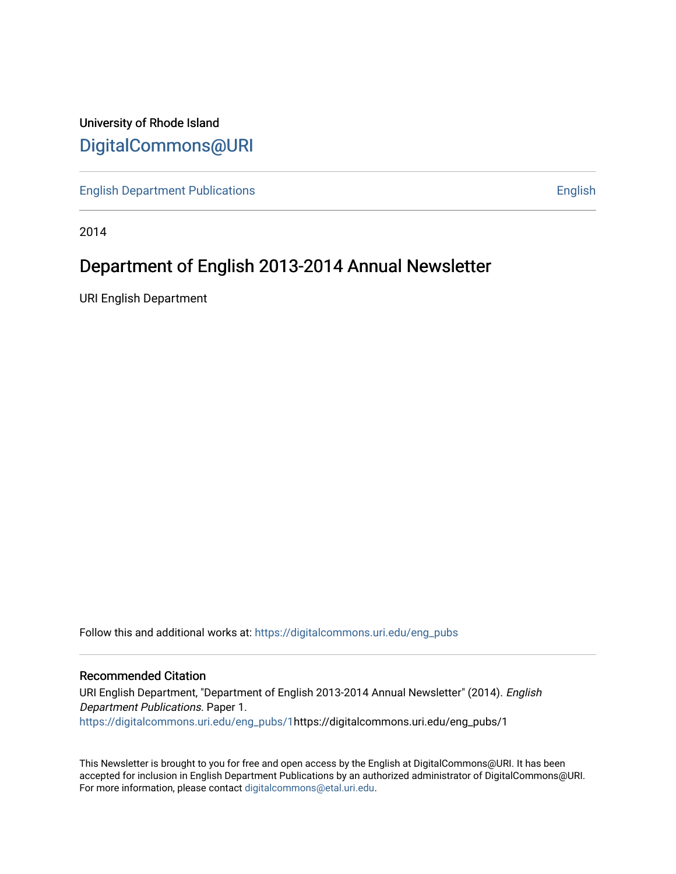## University of Rhode Island [DigitalCommons@URI](https://digitalcommons.uri.edu/)

**[English Department Publications](https://digitalcommons.uri.edu/eng_pubs) [English](https://digitalcommons.uri.edu/eng) English** 

2014

# Department of English 2013-2014 Annual Newsletter

URI English Department

Follow this and additional works at: [https://digitalcommons.uri.edu/eng\\_pubs](https://digitalcommons.uri.edu/eng_pubs?utm_source=digitalcommons.uri.edu%2Feng_pubs%2F1&utm_medium=PDF&utm_campaign=PDFCoverPages)

## Recommended Citation

URI English Department, "Department of English 2013-2014 Annual Newsletter" (2014). English Department Publications. Paper 1. [https://digitalcommons.uri.edu/eng\\_pubs/1](https://digitalcommons.uri.edu/eng_pubs/1?utm_source=digitalcommons.uri.edu%2Feng_pubs%2F1&utm_medium=PDF&utm_campaign=PDFCoverPages)https://digitalcommons.uri.edu/eng\_pubs/1

This Newsletter is brought to you for free and open access by the English at DigitalCommons@URI. It has been accepted for inclusion in English Department Publications by an authorized administrator of DigitalCommons@URI. For more information, please contact [digitalcommons@etal.uri.edu](mailto:digitalcommons@etal.uri.edu).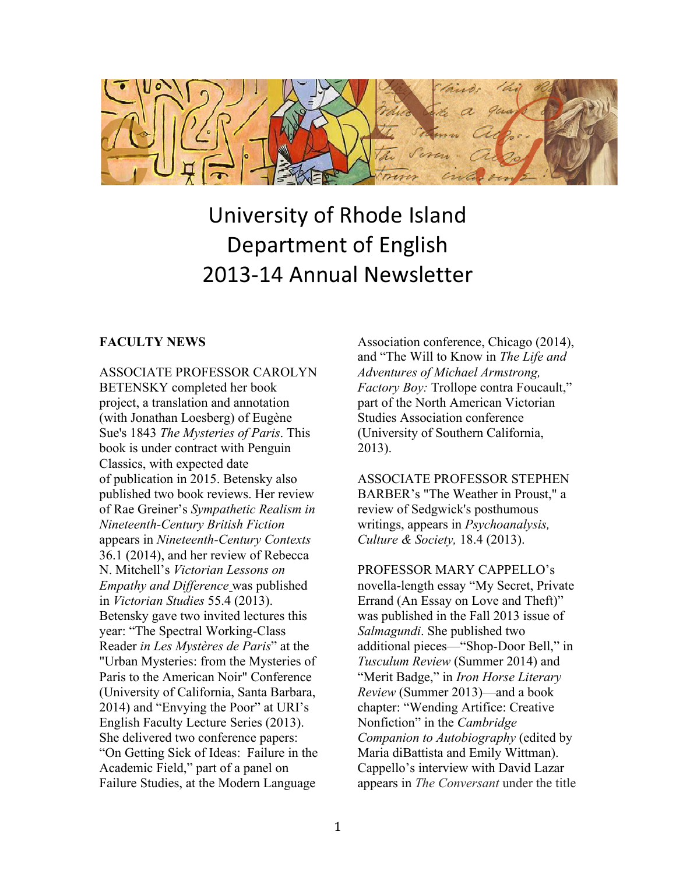

# University of Rhode Island Department of English 2013-14 Annual Newsletter

## **FACULTY NEWS**

ASSOCIATE PROFESSOR CAROLYN BETENSKY completed her book project, a translation and annotation (with Jonathan Loesberg) of Eugène Sue's 1843 *The Mysteries of Paris*. This book is under contract with Penguin Classics, with expected date of publication in 2015. Betensky also published two book reviews. Her review of Rae Greiner's *Sympathetic Realism in Nineteenth-Century British Fiction* appears in *Nineteenth-Century Contexts* 36.1 (2014), and her review of Rebecca N. Mitchell's *Victorian Lessons on Empathy and Difference* was published in *Victorian Studies* 55.4 (2013). Betensky gave two invited lectures this year: "The Spectral Working-Class Reader *in Les Mystères de Paris*" at the "Urban Mysteries: from the Mysteries of Paris to the American Noir" Conference (University of California, Santa Barbara, 2014) and "Envying the Poor" at URI's English Faculty Lecture Series (2013). She delivered two conference papers: "On Getting Sick of Ideas: Failure in the Academic Field," part of a panel on Failure Studies, at the Modern Language

Association conference, Chicago (2014), and "The Will to Know in *The Life and Adventures of Michael Armstrong, Factory Boy:* Trollope contra Foucault," part of the North American Victorian Studies Association conference (University of Southern California, 2013).

ASSOCIATE PROFESSOR STEPHEN BARBER's "The Weather in Proust," a review of Sedgwick's posthumous writings, appears in *Psychoanalysis, Culture & Society,* 18.4 (2013).

PROFESSOR MARY CAPPELLO's novella-length essay "My Secret, Private Errand (An Essay on Love and Theft)" was published in the Fall 2013 issue of *Salmagundi*. She published two additional pieces—"Shop-Door Bell," in *Tusculum Review* (Summer 2014) and "Merit Badge," in *Iron Horse Literary Review* (Summer 2013)—and a book chapter: "Wending Artifice: Creative Nonfiction" in the *Cambridge Companion to Autobiography* (edited by Maria diBattista and Emily Wittman). Cappello's interview with David Lazar appears in *The Conversant* under the title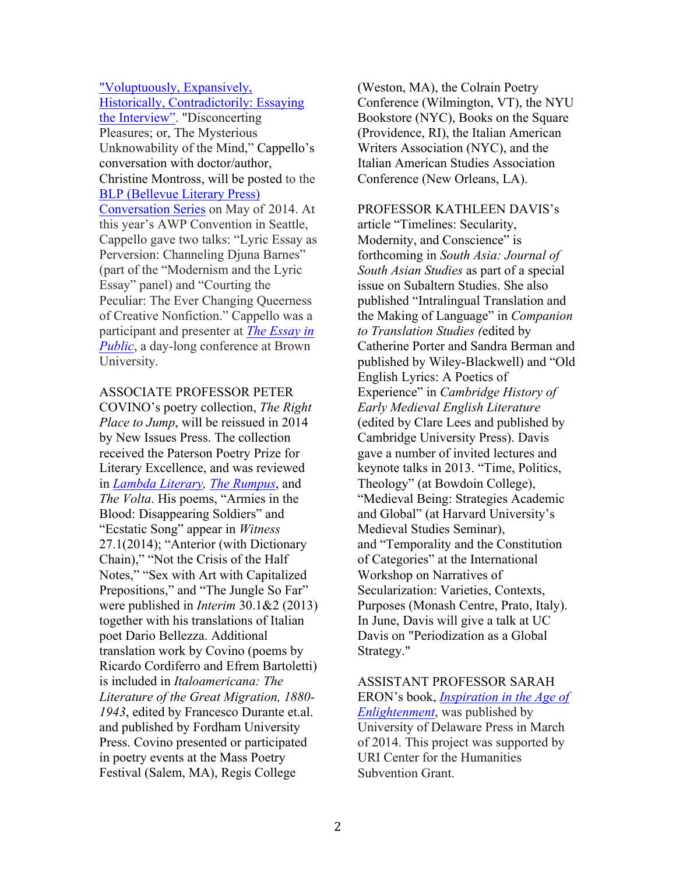"Voluptuously, Expansively, Historically, Contradictorily: Essaying the Interview". "Disconcerting Pleasures; or, The Mysterious Unknowability of the Mind," Cappello's conversation with doctor/author, Christine Montross, will be posted to the BLP (Bellevue Literary Press) Conversation Series on May of 2014. At this year's AWP Convention in Seattle, Cappello gave two talks: "Lyric Essay as Perversion: Channeling Djuna Barnes" (part of the "Modernism and the Lyric Essay" panel) and "Courting the Peculiar: The Ever Changing Queerness of Creative Nonfiction." Cappello was a participant and presenter at *The Essay in Public*, a day-long conference at Brown University.

ASSOCIATE PROFESSOR PETER COVINO's poetry collection, *The Right Place to Jump*, will be reissued in 2014 by New Issues Press. The collection received the Paterson Poetry Prize for Literary Excellence, and was reviewed in *Lambda Literary, The Rumpus*, and *The Volta*. His poems, "Armies in the Blood: Disappearing Soldiers" and "Ecstatic Song" appear in *Witness*  27.1(2014); "Anterior (with Dictionary Chain)," "Not the Crisis of the Half Notes," "Sex with Art with Capitalized Prepositions," and "The Jungle So Far" were published in *Interim* 30.1&2 (2013) together with his translations of Italian poet Dario Bellezza. Additional translation work by Covino (poems by Ricardo Cordiferro and Efrem Bartoletti) is included in *Italoamericana: The Literature of the Great Migration, 1880- 1943*, edited by Francesco Durante et.al. and published by Fordham University Press. Covino presented or participated in poetry events at the Mass Poetry Festival (Salem, MA), Regis College

(Weston, MA), the Colrain Poetry Conference (Wilmington, VT), the NYU Bookstore (NYC), Books on the Square (Providence, RI), the Italian American Writers Association (NYC), and the Italian American Studies Association Conference (New Orleans, LA).

PROFESSOR KATHLEEN DAVIS's article "Timelines: Secularity, Modernity, and Conscience" is forthcoming in *South Asia: Journal of South Asian Studies* as part of a special issue on Subaltern Studies. She also published "Intralingual Translation and the Making of Language" in *Companion to Translation Studies (*edited by Catherine Porter and Sandra Berman and published by Wiley-Blackwell) and "Old English Lyrics: A Poetics of Experience" in *Cambridge History of Early Medieval English Literature* (edited by Clare Lees and published by Cambridge University Press). Davis gave a number of invited lectures and keynote talks in 2013. "Time, Politics, Theology" (at Bowdoin College), "Medieval Being: Strategies Academic and Global" (at Harvard University's Medieval Studies Seminar), and "Temporality and the Constitution of Categories" at the International Workshop on Narratives of Secularization: Varieties, Contexts, Purposes (Monash Centre, Prato, Italy). In June, Davis will give a talk at UC Davis on "Periodization as a Global Strategy."

## ASSISTANT PROFESSOR SARAH ERON's book, *Inspiration in the Age of*

*Enlightenment*, was published by University of Delaware Press in March of 2014. This project was supported by URI Center for the Humanities Subvention Grant.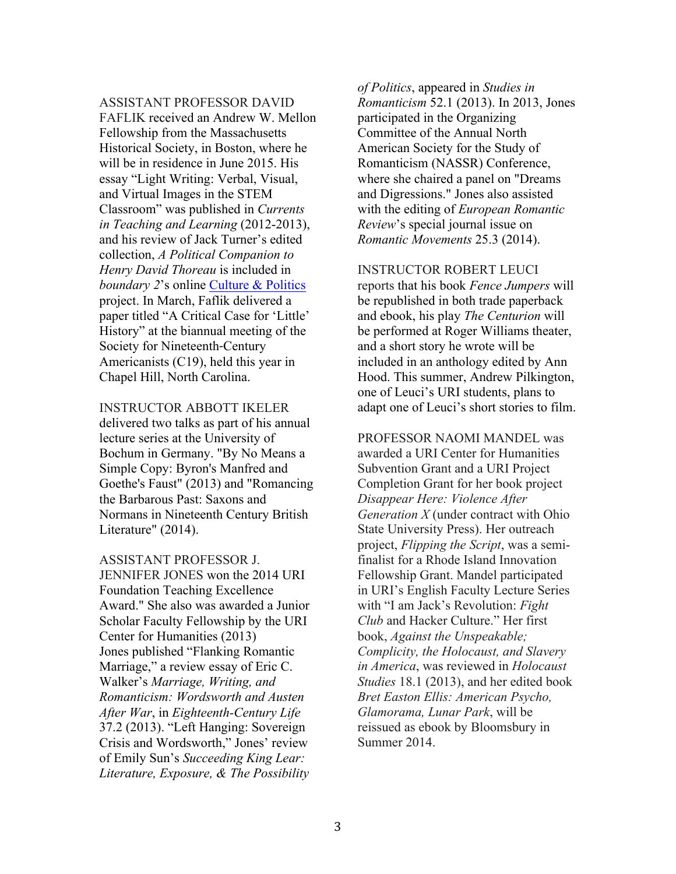ASSISTANT PROFESSOR DAVID

FAFLIK received an Andrew W. Mellon Fellowship from the Massachusetts Historical Society, in Boston, where he will be in residence in June 2015. His essay "Light Writing: Verbal, Visual, and Virtual Images in the STEM Classroom" was published in *Currents in Teaching and Learning* (2012-2013), and his review of Jack Turner's edited collection, *A Political Companion to Henry David Thoreau* is included in *boundary 2*'s online Culture & Politics project. In March, Faflik delivered a paper titled "A Critical Case for 'Little' History" at the biannual meeting of the Society for Nineteenth‐Century Americanists (C19), held this year in Chapel Hill, North Carolina.

INSTRUCTOR ABBOTT IKELER delivered two talks as part of his annual lecture series at the University of Bochum in Germany. "By No Means a Simple Copy: Byron's Manfred and Goethe's Faust" (2013) and "Romancing the Barbarous Past: Saxons and Normans in Nineteenth Century British Literature" (2014).

ASSISTANT PROFESSOR J. JENNIFER JONES won the 2014 URI Foundation Teaching Excellence Award." She also was awarded a Junior Scholar Faculty Fellowship by the URI Center for Humanities (2013) Jones published "Flanking Romantic Marriage," a review essay of Eric C. Walker's *Marriage, Writing, and Romanticism: Wordsworth and Austen After War*, in *Eighteenth-Century Life* 37.2 (2013). "Left Hanging: Sovereign Crisis and Wordsworth," Jones' review of Emily Sun's *Succeeding King Lear: Literature, Exposure, & The Possibility* 

*of Politics*, appeared in *Studies in Romanticism* 52.1 (2013). In 2013, Jones participated in the Organizing Committee of the Annual North American Society for the Study of Romanticism (NASSR) Conference, where she chaired a panel on "Dreams and Digressions." Jones also assisted with the editing of *European Romantic Review*'s special journal issue on *Romantic Movements* 25.3 (2014).

INSTRUCTOR ROBERT LEUCI reports that his book *Fence Jumpers* will be republished in both trade paperback and ebook, his play *The Centurion* will be performed at Roger Williams theater, and a short story he wrote will be included in an anthology edited by Ann Hood. This summer, Andrew Pilkington, one of Leuci's URI students, plans to adapt one of Leuci's short stories to film.

PROFESSOR NAOMI MANDEL was awarded a URI Center for Humanities Subvention Grant and a URI Project Completion Grant for her book project *Disappear Here: Violence After Generation X* (under contract with Ohio State University Press). Her outreach project, *Flipping the Script*, was a semifinalist for a Rhode Island Innovation Fellowship Grant. Mandel participated in URI's English Faculty Lecture Series with "I am Jack's Revolution: *Fight Club* and Hacker Culture." Her first book, *Against the Unspeakable; Complicity, the Holocaust, and Slavery in America*, was reviewed in *Holocaust Studies* 18.1 (2013), and her edited book *Bret Easton Ellis: American Psycho, Glamorama, Lunar Park*, will be reissued as ebook by Bloomsbury in Summer 2014.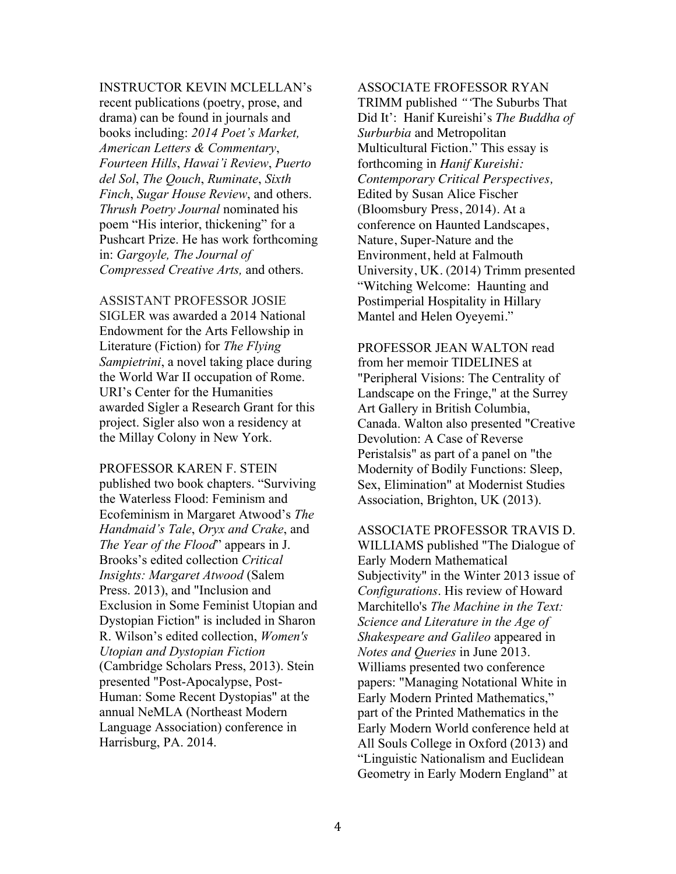INSTRUCTOR KEVIN MCLELLAN's

recent publications (poetry, prose, and drama) can be found in journals and books including: *2014 Poet's Market, American Letters & Commentary*, *Fourteen Hills*, *Hawai'i Review*, *Puerto del Sol*, *The Qouch*, *Ruminate*, *Sixth Finch*, *Sugar House Review*, and others. *Thrush Poetry Journal* nominated his poem "His interior, thickening" for a Pushcart Prize. He has work forthcoming in: *Gargoyle, The Journal of Compressed Creative Arts,* and others.

ASSISTANT PROFESSOR JOSIE SIGLER was awarded a 2014 National Endowment for the Arts Fellowship in Literature (Fiction) for *The Flying Sampietrini*, a novel taking place during the World War II occupation of Rome. URI's Center for the Humanities awarded Sigler a Research Grant for this project. Sigler also won a residency at the Millay Colony in New York.

PROFESSOR KAREN F. STEIN published two book chapters. "Surviving the Waterless Flood: Feminism and Ecofeminism in Margaret Atwood's *The Handmaid's Tale*, *Oryx and Crake*, and *The Year of the Flood*" appears in J. Brooks's edited collection *Critical Insights: Margaret Atwood* (Salem Press. 2013), and "Inclusion and Exclusion in Some Feminist Utopian and Dystopian Fiction" is included in Sharon R. Wilson's edited collection, *Women's Utopian and Dystopian Fiction* (Cambridge Scholars Press, 2013). Stein presented "Post-Apocalypse, Post-Human: Some Recent Dystopias" at the annual NeMLA (Northeast Modern Language Association) conference in Harrisburg, PA. 2014.

ASSOCIATE FROFESSOR RYAN TRIMM published *"'*The Suburbs That Did It': Hanif Kureishi's *The Buddha of Surburbia* and Metropolitan Multicultural Fiction." This essay is forthcoming in *Hanif Kureishi: Contemporary Critical Perspectives,* Edited by Susan Alice Fischer (Bloomsbury Press, 2014). At a conference on Haunted Landscapes, Nature, Super-Nature and the Environment, held at Falmouth University, UK. (2014) Trimm presented "Witching Welcome: Haunting and Postimperial Hospitality in Hillary Mantel and Helen Oyeyemi."

PROFESSOR JEAN WALTON read from her memoir TIDELINES at "Peripheral Visions: The Centrality of Landscape on the Fringe," at the Surrey Art Gallery in British Columbia, Canada. Walton also presented "Creative Devolution: A Case of Reverse Peristalsis" as part of a panel on "the Modernity of Bodily Functions: Sleep, Sex, Elimination" at Modernist Studies Association, Brighton, UK (2013).

ASSOCIATE PROFESSOR TRAVIS D. WILLIAMS published "The Dialogue of Early Modern Mathematical Subjectivity" in the Winter 2013 issue of *Configurations*. His review of Howard Marchitello's *The Machine in the Text: Science and Literature in the Age of Shakespeare and Galileo* appeared in *Notes and Queries* in June 2013. Williams presented two conference papers: "Managing Notational White in Early Modern Printed Mathematics," part of the Printed Mathematics in the Early Modern World conference held at All Souls College in Oxford (2013) and "Linguistic Nationalism and Euclidean Geometry in Early Modern England" at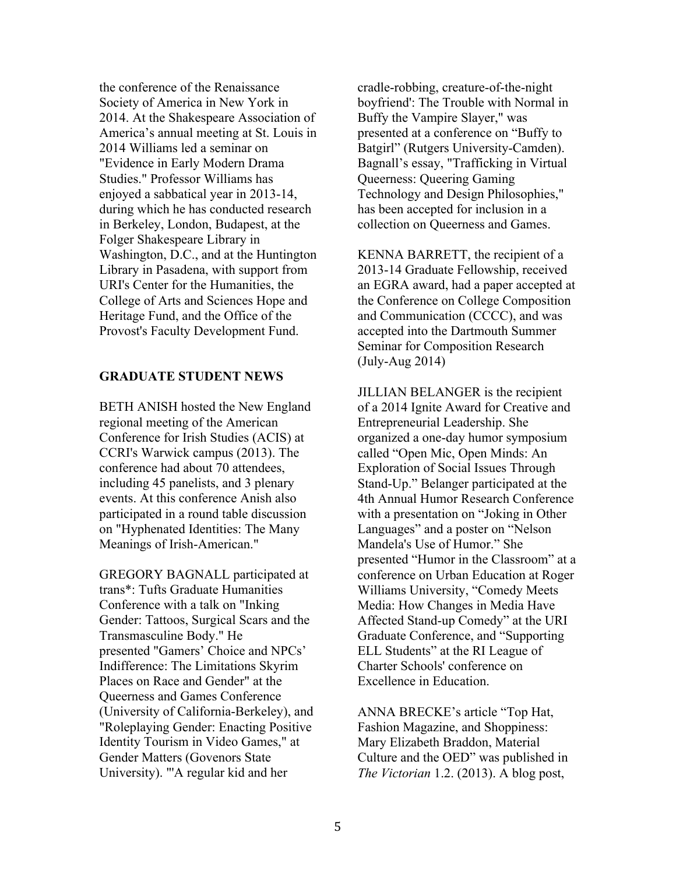the conference of the Renaissance Society of America in New York in 2014. At the Shakespeare Association of America's annual meeting at St. Louis in 2014 Williams led a seminar on "Evidence in Early Modern Drama Studies." Professor Williams has enjoyed a sabbatical year in 2013-14, during which he has conducted research in Berkeley, London, Budapest, at the Folger Shakespeare Library in Washington, D.C., and at the Huntington Library in Pasadena, with support from URI's Center for the Humanities, the College of Arts and Sciences Hope and Heritage Fund, and the Office of the Provost's Faculty Development Fund.

## **GRADUATE STUDENT NEWS**

BETH ANISH hosted the New England regional meeting of the American Conference for Irish Studies (ACIS) at CCRI's Warwick campus (2013). The conference had about 70 attendees, including 45 panelists, and 3 plenary events. At this conference Anish also participated in a round table discussion on "Hyphenated Identities: The Many Meanings of Irish-American."

GREGORY BAGNALL participated at trans\*: Tufts Graduate Humanities Conference with a talk on "Inking Gender: Tattoos, Surgical Scars and the Transmasculine Body." He presented "Gamers' Choice and NPCs' Indifference: The Limitations Skyrim Places on Race and Gender" at the Queerness and Games Conference (University of California-Berkeley), and "Roleplaying Gender: Enacting Positive Identity Tourism in Video Games," at Gender Matters (Govenors State University). "'A regular kid and her

cradle-robbing, creature-of-the-night boyfriend': The Trouble with Normal in Buffy the Vampire Slayer," was presented at a conference on "Buffy to Batgirl" (Rutgers University-Camden). Bagnall's essay, "Trafficking in Virtual Queerness: Queering Gaming Technology and Design Philosophies," has been accepted for inclusion in a collection on Queerness and Games.

KENNA BARRETT, the recipient of a 2013-14 Graduate Fellowship, received an EGRA award, had a paper accepted at the Conference on College Composition and Communication (CCCC), and was accepted into the Dartmouth Summer Seminar for Composition Research (July-Aug 2014)

JILLIAN BELANGER is the recipient of a 2014 Ignite Award for Creative and Entrepreneurial Leadership. She organized a one-day humor symposium called "Open Mic, Open Minds: An Exploration of Social Issues Through Stand-Up." Belanger participated at the 4th Annual Humor Research Conference with a presentation on "Joking in Other Languages" and a poster on "Nelson Mandela's Use of Humor." She presented "Humor in the Classroom" at a conference on Urban Education at Roger Williams University, "Comedy Meets Media: How Changes in Media Have Affected Stand-up Comedy" at the URI Graduate Conference, and "Supporting ELL Students" at the RI League of Charter Schools' conference on Excellence in Education.

ANNA BRECKE's article "Top Hat, Fashion Magazine, and Shoppiness: Mary Elizabeth Braddon, Material Culture and the OED" was published in *The Victorian* 1.2. (2013). A blog post,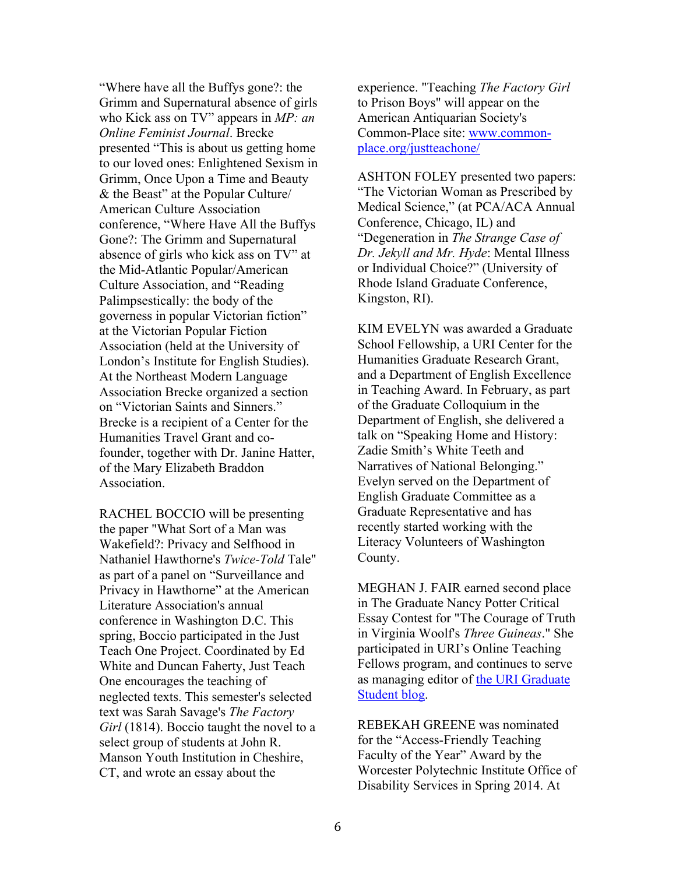"Where have all the Buffys gone?: the Grimm and Supernatural absence of girls who Kick ass on TV" appears in *MP: an Online Feminist Journal*. Brecke presented "This is about us getting home to our loved ones: Enlightened Sexism in Grimm, Once Upon a Time and Beauty & the Beast" at the Popular Culture/ American Culture Association conference, "Where Have All the Buffys Gone?: The Grimm and Supernatural absence of girls who kick ass on TV" at the Mid-Atlantic Popular/American Culture Association, and "Reading Palimpsestically: the body of the governess in popular Victorian fiction" at the Victorian Popular Fiction Association (held at the University of London's Institute for English Studies). At the Northeast Modern Language Association Brecke organized a section on "Victorian Saints and Sinners." Brecke is a recipient of a Center for the Humanities Travel Grant and cofounder, together with Dr. Janine Hatter, of the Mary Elizabeth Braddon Association.

RACHEL BOCCIO will be presenting the paper "What Sort of a Man was Wakefield?: Privacy and Selfhood in Nathaniel Hawthorne's *Twice-Told* Tale" as part of a panel on "Surveillance and Privacy in Hawthorne" at the American Literature Association's annual conference in Washington D.C. This spring, Boccio participated in the Just Teach One Project. Coordinated by Ed White and Duncan Faherty, Just Teach One encourages the teaching of neglected texts. This semester's selected text was Sarah Savage's *The Factory Girl* (1814). Boccio taught the novel to a select group of students at John R. Manson Youth Institution in Cheshire, CT, and wrote an essay about the

experience. "Teaching *The Factory Girl* to Prison Boys" will appear on the American Antiquarian Society's Common-Place site: www.commonplace.org/justteachone/

ASHTON FOLEY presented two papers: "The Victorian Woman as Prescribed by Medical Science," (at PCA/ACA Annual Conference, Chicago, IL) and "Degeneration in *The Strange Case of Dr. Jekyll and Mr. Hyde*: Mental Illness or Individual Choice?" (University of Rhode Island Graduate Conference, Kingston, RI).

KIM EVELYN was awarded a Graduate School Fellowship, a URI Center for the Humanities Graduate Research Grant, and a Department of English Excellence in Teaching Award. In February, as part of the Graduate Colloquium in the Department of English, she delivered a talk on "Speaking Home and History: Zadie Smith's White Teeth and Narratives of National Belonging." Evelyn served on the Department of English Graduate Committee as a Graduate Representative and has recently started working with the Literacy Volunteers of Washington County.

MEGHAN J. FAIR earned second place in The Graduate Nancy Potter Critical Essay Contest for "The Courage of Truth in Virginia Woolf's *Three Guineas*." She participated in URI's Online Teaching Fellows program, and continues to serve as managing editor of the URI Graduate Student blog.

REBEKAH GREENE was nominated for the "Access-Friendly Teaching Faculty of the Year" Award by the Worcester Polytechnic Institute Office of Disability Services in Spring 2014. At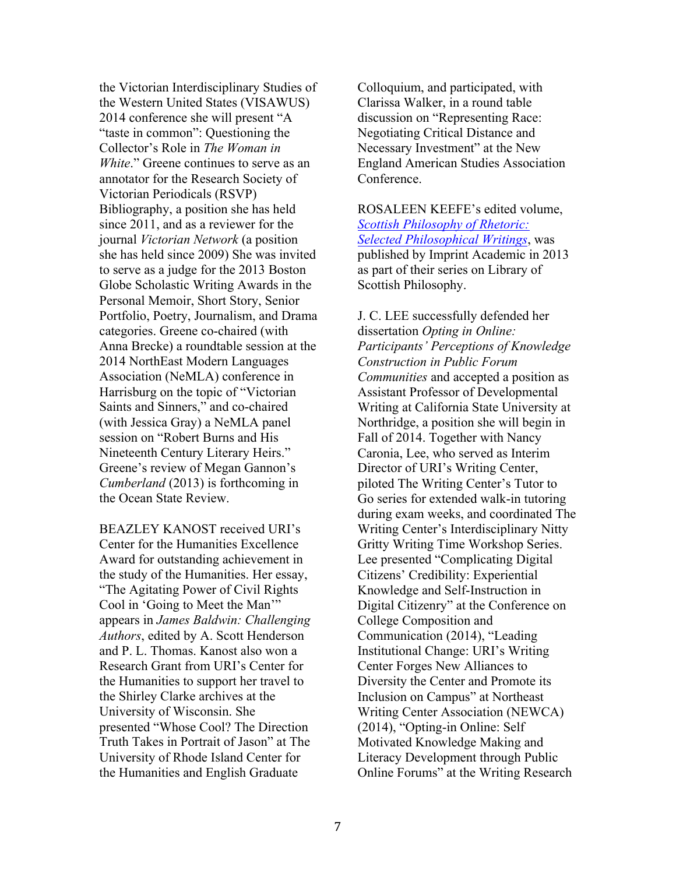the Victorian Interdisciplinary Studies of the Western United States (VISAWUS) 2014 conference she will present "A "taste in common": Questioning the Collector's Role in *The Woman in White.*" Greene continues to serve as an annotator for the Research Society of Victorian Periodicals (RSVP) Bibliography, a position she has held since 2011, and as a reviewer for the journal *Victorian Network* (a position she has held since 2009) She was invited to serve as a judge for the 2013 Boston Globe Scholastic Writing Awards in the Personal Memoir, Short Story, Senior Portfolio, Poetry, Journalism, and Drama categories. Greene co-chaired (with Anna Brecke) a roundtable session at the 2014 NorthEast Modern Languages Association (NeMLA) conference in Harrisburg on the topic of "Victorian Saints and Sinners," and co-chaired (with Jessica Gray) a NeMLA panel session on "Robert Burns and His Nineteenth Century Literary Heirs." Greene's review of Megan Gannon's *Cumberland* (2013) is forthcoming in the Ocean State Review.

BEAZLEY KANOST received URI's Center for the Humanities Excellence Award for outstanding achievement in the study of the Humanities. Her essay, "The Agitating Power of Civil Rights Cool in 'Going to Meet the Man'" appears in *James Baldwin: Challenging Authors*, edited by A. Scott Henderson and P. L. Thomas. Kanost also won a Research Grant from URI's Center for the Humanities to support her travel to the Shirley Clarke archives at the University of Wisconsin. She presented "Whose Cool? The Direction Truth Takes in Portrait of Jason" at The University of Rhode Island Center for the Humanities and English Graduate

Colloquium, and participated, with Clarissa Walker, in a round table discussion on "Representing Race: Negotiating Critical Distance and Necessary Investment" at the New England American Studies Association **Conference** 

ROSALEEN KEEFE's edited volume, *Scottish Philosophy of Rhetoric: Selected Philosophical Writings*, was published by Imprint Academic in 2013 as part of their series on Library of Scottish Philosophy.

J. C. LEE successfully defended her dissertation *Opting in Online: Participants' Perceptions of Knowledge Construction in Public Forum Communities* and accepted a position as Assistant Professor of Developmental Writing at California State University at Northridge, a position she will begin in Fall of 2014. Together with Nancy Caronia, Lee, who served as Interim Director of URI's Writing Center, piloted The Writing Center's Tutor to Go series for extended walk-in tutoring during exam weeks, and coordinated The Writing Center's Interdisciplinary Nitty Gritty Writing Time Workshop Series. Lee presented "Complicating Digital Citizens' Credibility: Experiential Knowledge and Self-Instruction in Digital Citizenry" at the Conference on College Composition and Communication (2014), "Leading Institutional Change: URI's Writing Center Forges New Alliances to Diversity the Center and Promote its Inclusion on Campus" at Northeast Writing Center Association (NEWCA) (2014), "Opting-in Online: Self Motivated Knowledge Making and Literacy Development through Public Online Forums" at the Writing Research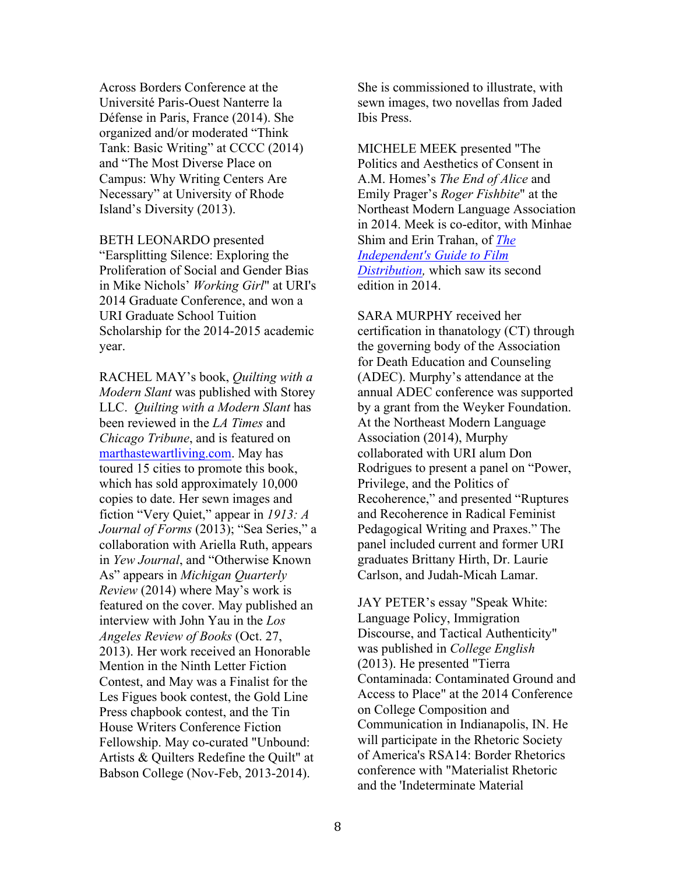Across Borders Conference at the Université Paris-Ouest Nanterre la Défense in Paris, France (2014). She organized and/or moderated "Think Tank: Basic Writing" at CCCC (2014) and "The Most Diverse Place on Campus: Why Writing Centers Are Necessary" at University of Rhode Island's Diversity (2013).

BETH LEONARDO presented "Earsplitting Silence: Exploring the Proliferation of Social and Gender Bias in Mike Nichols' *Working Girl*" at URI's 2014 Graduate Conference, and won a URI Graduate School Tuition Scholarship for the 2014-2015 academic year.

RACHEL MAY's book, *Quilting with a Modern Slant* was published with Storey LLC. *Quilting with a Modern Slant* has been reviewed in the *LA Times* and *Chicago Tribune*, and is featured on marthastewartliving.com. May has toured 15 cities to promote this book, which has sold approximately 10,000 copies to date. Her sewn images and fiction "Very Quiet," appear in *1913: A Journal of Forms* (2013); "Sea Series," a collaboration with Ariella Ruth, appears in *Yew Journal*, and "Otherwise Known As" appears in *Michigan Quarterly Review* (2014) where May's work is featured on the cover. May published an interview with John Yau in the *Los Angeles Review of Books* (Oct. 27, 2013). Her work received an Honorable Mention in the Ninth Letter Fiction Contest, and May was a Finalist for the Les Figues book contest, the Gold Line Press chapbook contest, and the Tin House Writers Conference Fiction Fellowship. May co-curated "Unbound: Artists & Quilters Redefine the Quilt" at Babson College (Nov-Feb, 2013-2014).

She is commissioned to illustrate, with sewn images, two novellas from Jaded Ibis Press.

MICHELE MEEK presented "The Politics and Aesthetics of Consent in A.M. Homes's *The End of Alice* and Emily Prager's *Roger Fishbite*" at the Northeast Modern Language Association in 2014. Meek is co-editor, with Minhae Shim and Erin Trahan, of *The Independent's Guide to Film Distribution,* which saw its second edition in 2014.

SARA MURPHY received her certification in thanatology (CT) through the governing body of the Association for Death Education and Counseling (ADEC). Murphy's attendance at the annual ADEC conference was supported by a grant from the Weyker Foundation. At the Northeast Modern Language Association (2014), Murphy collaborated with URI alum Don Rodrigues to present a panel on "Power, Privilege, and the Politics of Recoherence," and presented "Ruptures and Recoherence in Radical Feminist Pedagogical Writing and Praxes." The panel included current and former URI graduates Brittany Hirth, Dr. Laurie Carlson, and Judah-Micah Lamar.

JAY PETER's essay "Speak White: Language Policy, Immigration Discourse, and Tactical Authenticity" was published in *College English* (2013). He presented "Tierra Contaminada: Contaminated Ground and Access to Place" at the 2014 Conference on College Composition and Communication in Indianapolis, IN. He will participate in the Rhetoric Society of America's RSA14: Border Rhetorics conference with "Materialist Rhetoric and the 'Indeterminate Material